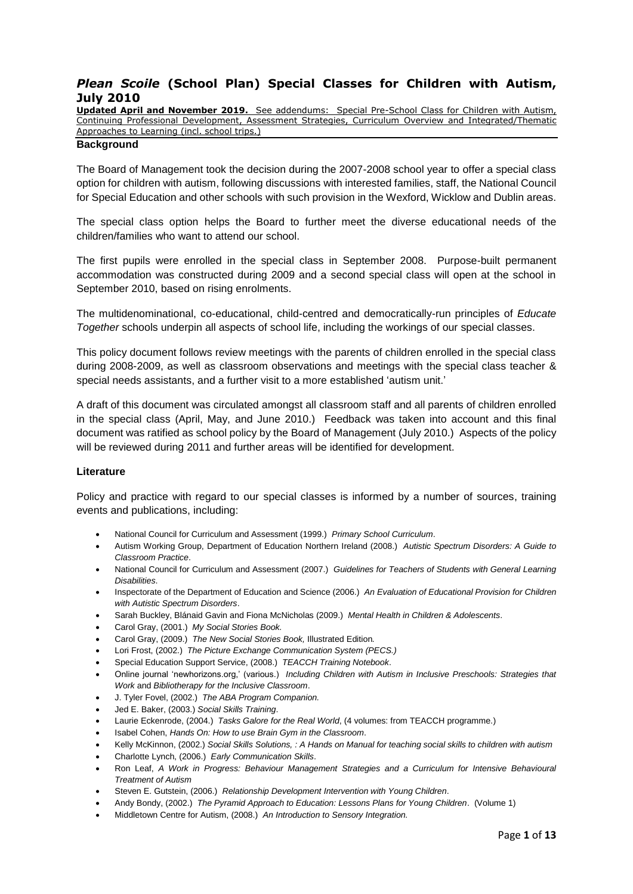### *Plean Scoile* **(School Plan) Special Classes for Children with Autism, July 2010**

**Updated April and November 2019.** See addendums: Special Pre-School Class for Children with Autism, Continuing Professional Development, Assessment Strategies, Curriculum Overview and Integrated/Thematic Approaches to Learning (incl. school trips.)

#### **Background**

The Board of Management took the decision during the 2007-2008 school year to offer a special class option for children with autism, following discussions with interested families, staff, the National Council for Special Education and other schools with such provision in the Wexford, Wicklow and Dublin areas.

The special class option helps the Board to further meet the diverse educational needs of the children/families who want to attend our school.

The first pupils were enrolled in the special class in September 2008. Purpose-built permanent accommodation was constructed during 2009 and a second special class will open at the school in September 2010, based on rising enrolments.

The multidenominational, co-educational, child-centred and democratically-run principles of *Educate Together* schools underpin all aspects of school life, including the workings of our special classes.

This policy document follows review meetings with the parents of children enrolled in the special class during 2008-2009, as well as classroom observations and meetings with the special class teacher & special needs assistants, and a further visit to a more established 'autism unit.'

A draft of this document was circulated amongst all classroom staff and all parents of children enrolled in the special class (April, May, and June 2010.) Feedback was taken into account and this final document was ratified as school policy by the Board of Management (July 2010.) Aspects of the policy will be reviewed during 2011 and further areas will be identified for development.

#### **Literature**

Policy and practice with regard to our special classes is informed by a number of sources, training events and publications, including:

- National Council for Curriculum and Assessment (1999.) *Primary School Curriculum*.
- Autism Working Group, Department of Education Northern Ireland (2008.) *Autistic Spectrum Disorders: A Guide to Classroom Practice*.
- National Council for Curriculum and Assessment (2007.) *Guidelines for Teachers of Students with General Learning Disabilities*.
- Inspectorate of the Department of Education and Science (2006.) *An Evaluation of Educational Provision for Children with Autistic Spectrum Disorders*.
- Sarah Buckley, Blánaid Gavin and Fiona McNicholas (2009.) *Mental Health in Children & Adolescents*.
- Carol Gray, (2001.) *My Social Stories Book.*
- Carol Gray, (2009.) *The New Social Stories Book,* Illustrated Edition*.*
- Lori Frost, (2002.) *The Picture Exchange Communication System (PECS.)*
- Special Education Support Service, (2008.) *TEACCH Training Notebook*.
- Online journal 'newhorizons.org,' (various.) *[Including Children with Autism in Inclusive Preschools: Strategies that](http://www.newhorizons.org/spneeds/inclusion/information/schwartz2.htm)  [Work](http://www.newhorizons.org/spneeds/inclusion/information/schwartz2.htm)* and *Bibliotherapy for the Inclusive Classroom*.
- J. Tyler Fovel, (2002.) *The ABA Program Companion.*
- Jed E. Baker, (2003.) *Social Skills Training*.
- Laurie Eckenrode, (2004.) *Tasks Galore for the Real World*, (4 volumes: from TEACCH programme.)
- Isabel Cohen, *Hands On: How to use Brain Gym in the Classroom*.
- Kelly McKinnon, (2002.) *Social Skills Solutions, : A Hands on Manual for teaching social skills to children with autism*
- Charlotte Lynch, (2006.) *Early Communication Skills*.
- Ron Leaf, *A Work in Progress: Behaviour Management Strategies and a Curriculum for Intensive Behavioural Treatment of Autism*
- Steven E. Gutstein, (2006.) *Relationship Development Intervention with Young Children*.
- Andy Bondy, (2002.) *The Pyramid Approach to Education: Lessons Plans for Young Children*. (Volume 1)
- Middletown Centre for Autism, (2008.) *An Introduction to Sensory Integration.*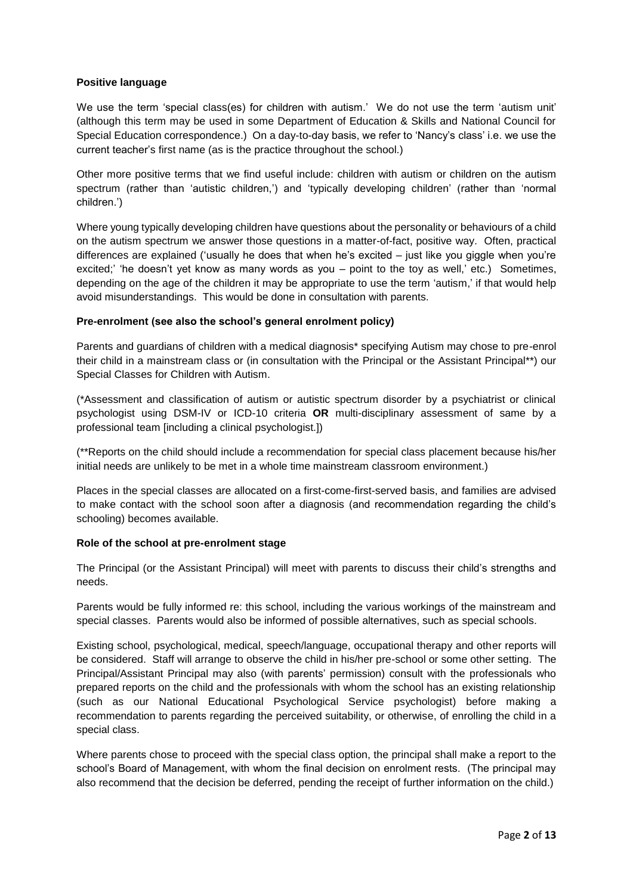#### **Positive language**

We use the term 'special class(es) for children with autism.' We do not use the term 'autism unit' (although this term may be used in some Department of Education & Skills and National Council for Special Education correspondence.) On a day-to-day basis, we refer to 'Nancy's class' i.e. we use the current teacher's first name (as is the practice throughout the school.)

Other more positive terms that we find useful include: children with autism or children on the autism spectrum (rather than 'autistic children,') and 'typically developing children' (rather than 'normal children.')

Where young typically developing children have questions about the personality or behaviours of a child on the autism spectrum we answer those questions in a matter-of-fact, positive way. Often, practical differences are explained ('usually he does that when he's excited – just like you giggle when you're excited;' 'he doesn't yet know as many words as you – point to the toy as well,' etc.) Sometimes, depending on the age of the children it may be appropriate to use the term 'autism,' if that would help avoid misunderstandings. This would be done in consultation with parents.

#### **Pre-enrolment (see also the school's general enrolment policy)**

Parents and guardians of children with a medical diagnosis\* specifying Autism may chose to pre-enrol their child in a mainstream class or (in consultation with the Principal or the Assistant Principal\*\*) our Special Classes for Children with Autism.

(\*Assessment and classification of autism or autistic spectrum disorder by a psychiatrist or clinical psychologist using DSM-IV or ICD-10 criteria **OR** multi-disciplinary assessment of same by a professional team [including a clinical psychologist.])

(\*\*Reports on the child should include a recommendation for special class placement because his/her initial needs are unlikely to be met in a whole time mainstream classroom environment.)

Places in the special classes are allocated on a first-come-first-served basis, and families are advised to make contact with the school soon after a diagnosis (and recommendation regarding the child's schooling) becomes available.

### **Role of the school at pre-enrolment stage**

The Principal (or the Assistant Principal) will meet with parents to discuss their child's strengths and needs.

Parents would be fully informed re: this school, including the various workings of the mainstream and special classes. Parents would also be informed of possible alternatives, such as special schools.

Existing school, psychological, medical, speech/language, occupational therapy and other reports will be considered. Staff will arrange to observe the child in his/her pre-school or some other setting. The Principal/Assistant Principal may also (with parents' permission) consult with the professionals who prepared reports on the child and the professionals with whom the school has an existing relationship (such as our National Educational Psychological Service psychologist) before making a recommendation to parents regarding the perceived suitability, or otherwise, of enrolling the child in a special class.

Where parents chose to proceed with the special class option, the principal shall make a report to the school's Board of Management, with whom the final decision on enrolment rests. (The principal may also recommend that the decision be deferred, pending the receipt of further information on the child.)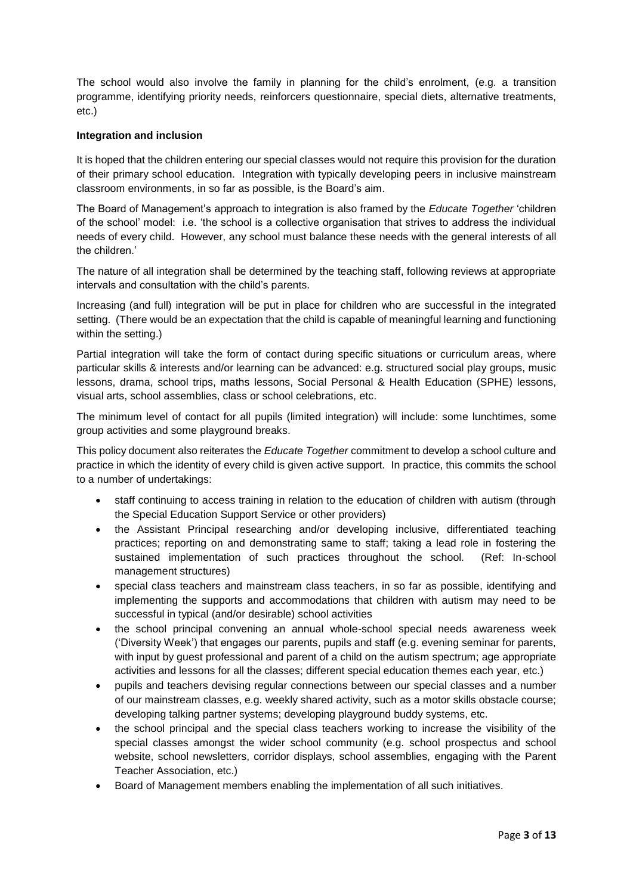The school would also involve the family in planning for the child's enrolment, (e.g. a transition programme, identifying priority needs, reinforcers questionnaire, special diets, alternative treatments, etc.)

#### **Integration and inclusion**

It is hoped that the children entering our special classes would not require this provision for the duration of their primary school education. Integration with typically developing peers in inclusive mainstream classroom environments, in so far as possible, is the Board's aim.

The Board of Management's approach to integration is also framed by the *Educate Together* 'children of the school' model: i.e. 'the school is a collective organisation that strives to address the individual needs of every child. However, any school must balance these needs with the general interests of all the children.'

The nature of all integration shall be determined by the teaching staff, following reviews at appropriate intervals and consultation with the child's parents.

Increasing (and full) integration will be put in place for children who are successful in the integrated setting. (There would be an expectation that the child is capable of meaningful learning and functioning within the setting.)

Partial integration will take the form of contact during specific situations or curriculum areas, where particular skills & interests and/or learning can be advanced: e.g. structured social play groups, music lessons, drama, school trips, maths lessons, Social Personal & Health Education (SPHE) lessons, visual arts, school assemblies, class or school celebrations, etc.

The minimum level of contact for all pupils (limited integration) will include: some lunchtimes, some group activities and some playground breaks.

This policy document also reiterates the *Educate Together* commitment to develop a school culture and practice in which the identity of every child is given active support. In practice, this commits the school to a number of undertakings:

- staff continuing to access training in relation to the education of children with autism (through the Special Education Support Service or other providers)
- the Assistant Principal researching and/or developing inclusive, differentiated teaching practices; reporting on and demonstrating same to staff; taking a lead role in fostering the sustained implementation of such practices throughout the school. (Ref: In-school management structures)
- special class teachers and mainstream class teachers, in so far as possible, identifying and implementing the supports and accommodations that children with autism may need to be successful in typical (and/or desirable) school activities
- the school principal convening an annual whole-school special needs awareness week ('Diversity Week') that engages our parents, pupils and staff (e.g. evening seminar for parents, with input by guest professional and parent of a child on the autism spectrum; age appropriate activities and lessons for all the classes; different special education themes each year, etc.)
- pupils and teachers devising regular connections between our special classes and a number of our mainstream classes, e.g. weekly shared activity, such as a motor skills obstacle course; developing talking partner systems; developing playground buddy systems, etc.
- the school principal and the special class teachers working to increase the visibility of the special classes amongst the wider school community (e.g. school prospectus and school website, school newsletters, corridor displays, school assemblies, engaging with the Parent Teacher Association, etc.)
- Board of Management members enabling the implementation of all such initiatives.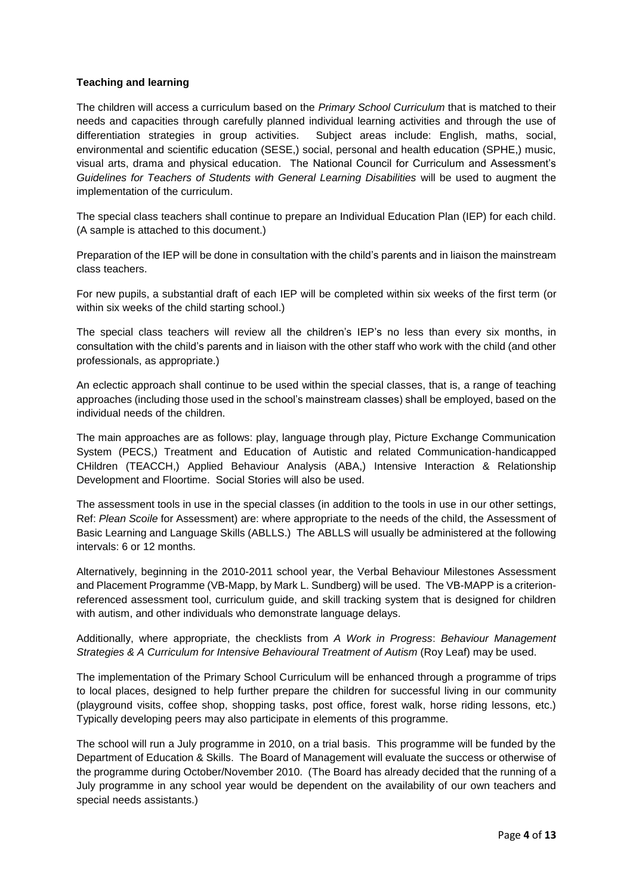### **Teaching and learning**

The children will access a curriculum based on the *Primary School Curriculum* that is matched to their needs and capacities through carefully planned individual learning activities and through the use of differentiation strategies in group activities. Subject areas include: English, maths, social, environmental and scientific education (SESE,) social, personal and health education (SPHE,) music, visual arts, drama and physical education. The National Council for Curriculum and Assessment's *Guidelines for Teachers of Students with General Learning Disabilities* will be used to augment the implementation of the curriculum.

The special class teachers shall continue to prepare an Individual Education Plan (IEP) for each child. (A sample is attached to this document.)

Preparation of the IEP will be done in consultation with the child's parents and in liaison the mainstream class teachers.

For new pupils, a substantial draft of each IEP will be completed within six weeks of the first term (or within six weeks of the child starting school.)

The special class teachers will review all the children's IEP's no less than every six months, in consultation with the child's parents and in liaison with the other staff who work with the child (and other professionals, as appropriate.)

An eclectic approach shall continue to be used within the special classes, that is, a range of teaching approaches (including those used in the school's mainstream classes) shall be employed, based on the individual needs of the children.

The main approaches are as follows: play, language through play, Picture Exchange Communication System (PECS,) Treatment and Education of Autistic and related Communication-handicapped CHildren (TEACCH,) Applied Behaviour Analysis (ABA,) Intensive Interaction & Relationship Development and Floortime. Social Stories will also be used.

The assessment tools in use in the special classes (in addition to the tools in use in our other settings, Ref: *Plean Scoile* for Assessment) are: where appropriate to the needs of the child, the Assessment of Basic Learning and Language Skills (ABLLS.) The ABLLS will usually be administered at the following intervals: 6 or 12 months.

Alternatively, beginning in the 2010-2011 school year, the Verbal Behaviour Milestones Assessment and Placement Programme (VB-Mapp, by Mark L. Sundberg) will be used. The VB-MAPP is a criterionreferenced assessment tool, curriculum guide, and skill tracking system that is designed for children with autism, and other individuals who demonstrate language delays.

Additionally, where appropriate, the checklists from *A Work in Progress*: *Behaviour Management Strategies & A Curriculum for Intensive Behavioural Treatment of Autism* (Roy Leaf) may be used.

The implementation of the Primary School Curriculum will be enhanced through a programme of trips to local places, designed to help further prepare the children for successful living in our community (playground visits, coffee shop, shopping tasks, post office, forest walk, horse riding lessons, etc.) Typically developing peers may also participate in elements of this programme.

The school will run a July programme in 2010, on a trial basis. This programme will be funded by the Department of Education & Skills. The Board of Management will evaluate the success or otherwise of the programme during October/November 2010. (The Board has already decided that the running of a July programme in any school year would be dependent on the availability of our own teachers and special needs assistants.)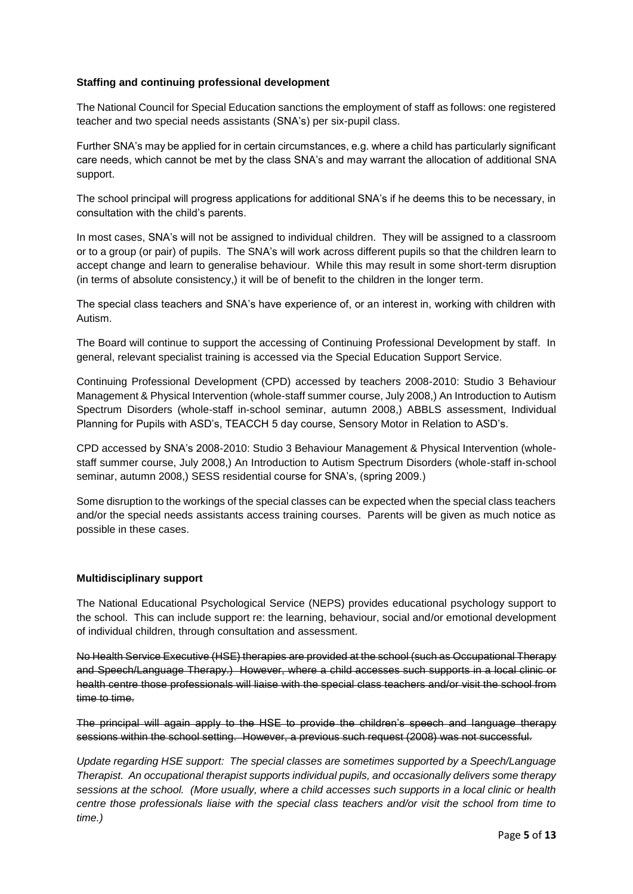#### **Staffing and continuing professional development**

The National Council for Special Education sanctions the employment of staff as follows: one registered teacher and two special needs assistants (SNA's) per six-pupil class.

Further SNA's may be applied for in certain circumstances, e.g. where a child has particularly significant care needs, which cannot be met by the class SNA's and may warrant the allocation of additional SNA support.

The school principal will progress applications for additional SNA's if he deems this to be necessary, in consultation with the child's parents.

In most cases, SNA's will not be assigned to individual children. They will be assigned to a classroom or to a group (or pair) of pupils. The SNA's will work across different pupils so that the children learn to accept change and learn to generalise behaviour. While this may result in some short-term disruption (in terms of absolute consistency,) it will be of benefit to the children in the longer term.

The special class teachers and SNA's have experience of, or an interest in, working with children with Autism.

The Board will continue to support the accessing of Continuing Professional Development by staff. In general, relevant specialist training is accessed via the Special Education Support Service.

Continuing Professional Development (CPD) accessed by teachers 2008-2010: Studio 3 Behaviour Management & Physical Intervention (whole-staff summer course, July 2008,) An Introduction to Autism Spectrum Disorders (whole-staff in-school seminar, autumn 2008,) ABBLS assessment, Individual Planning for Pupils with ASD's, TEACCH 5 day course, Sensory Motor in Relation to ASD's.

CPD accessed by SNA's 2008-2010: Studio 3 Behaviour Management & Physical Intervention (wholestaff summer course, July 2008,) An Introduction to Autism Spectrum Disorders (whole-staff in-school seminar, autumn 2008,) SESS residential course for SNA's, (spring 2009.)

Some disruption to the workings of the special classes can be expected when the special class teachers and/or the special needs assistants access training courses. Parents will be given as much notice as possible in these cases.

#### **Multidisciplinary support**

The National Educational Psychological Service (NEPS) provides educational psychology support to the school. This can include support re: the learning, behaviour, social and/or emotional development of individual children, through consultation and assessment.

No Health Service Executive (HSE) therapies are provided at the school (such as Occupational Therapy and Speech/Language Therapy.) However, where a child accesses such supports in a local clinic or health centre those professionals will liaise with the special class teachers and/or visit the school from time to time.

The principal will again apply to the HSE to provide the children's speech and language therapy sessions within the school setting. However, a previous such request (2008) was not successful.

*Update regarding HSE support: The special classes are sometimes supported by a Speech/Language Therapist. An occupational therapist supports individual pupils, and occasionally delivers some therapy sessions at the school. (More usually, where a child accesses such supports in a local clinic or health centre those professionals liaise with the special class teachers and/or visit the school from time to time.)*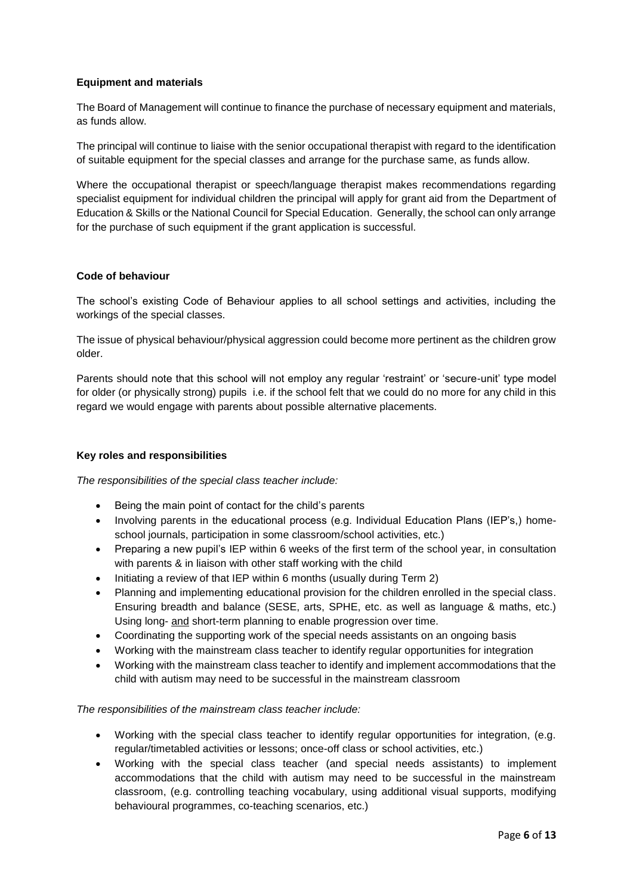### **Equipment and materials**

The Board of Management will continue to finance the purchase of necessary equipment and materials, as funds allow.

The principal will continue to liaise with the senior occupational therapist with regard to the identification of suitable equipment for the special classes and arrange for the purchase same, as funds allow.

Where the occupational therapist or speech/language therapist makes recommendations regarding specialist equipment for individual children the principal will apply for grant aid from the Department of Education & Skills or the National Council for Special Education. Generally, the school can only arrange for the purchase of such equipment if the grant application is successful.

#### **Code of behaviour**

The school's existing Code of Behaviour applies to all school settings and activities, including the workings of the special classes.

The issue of physical behaviour/physical aggression could become more pertinent as the children grow older.

Parents should note that this school will not employ any regular 'restraint' or 'secure-unit' type model for older (or physically strong) pupils i.e. if the school felt that we could do no more for any child in this regard we would engage with parents about possible alternative placements.

### **Key roles and responsibilities**

*The responsibilities of the special class teacher include:*

- Being the main point of contact for the child's parents
- Involving parents in the educational process (e.g. Individual Education Plans (IEP's.) homeschool journals, participation in some classroom/school activities, etc.)
- Preparing a new pupil's IEP within 6 weeks of the first term of the school year, in consultation with parents & in liaison with other staff working with the child
- Initiating a review of that IEP within 6 months (usually during Term 2)
- Planning and implementing educational provision for the children enrolled in the special class. Ensuring breadth and balance (SESE, arts, SPHE, etc. as well as language & maths, etc.) Using long- and short-term planning to enable progression over time.
- Coordinating the supporting work of the special needs assistants on an ongoing basis
- Working with the mainstream class teacher to identify regular opportunities for integration
- Working with the mainstream class teacher to identify and implement accommodations that the child with autism may need to be successful in the mainstream classroom

### *The responsibilities of the mainstream class teacher include:*

- Working with the special class teacher to identify regular opportunities for integration, (e.g. regular/timetabled activities or lessons; once-off class or school activities, etc.)
- Working with the special class teacher (and special needs assistants) to implement accommodations that the child with autism may need to be successful in the mainstream classroom, (e.g. controlling teaching vocabulary, using additional visual supports, modifying behavioural programmes, co-teaching scenarios, etc.)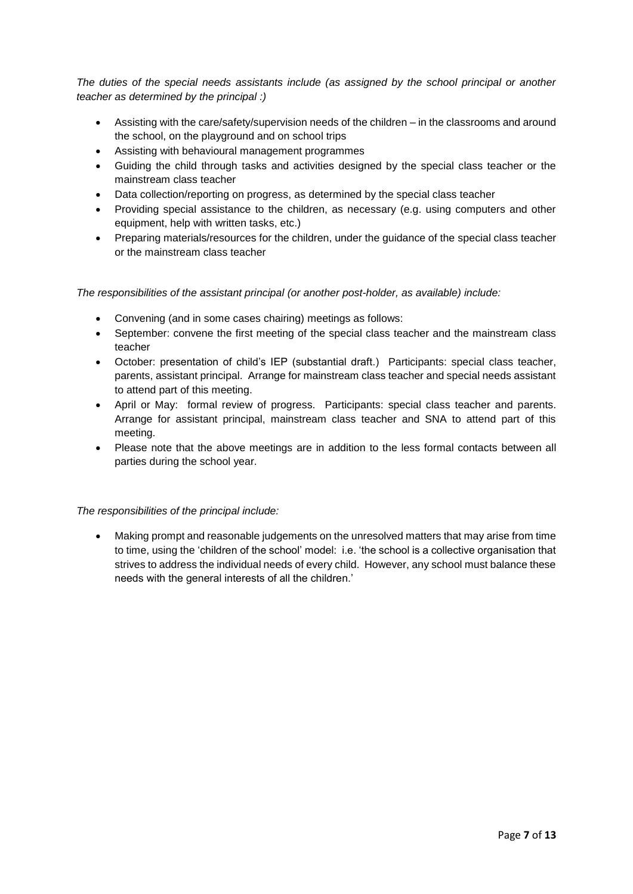*The duties of the special needs assistants include (as assigned by the school principal or another teacher as determined by the principal :)*

- Assisting with the care/safety/supervision needs of the children in the classrooms and around the school, on the playground and on school trips
- Assisting with behavioural management programmes
- Guiding the child through tasks and activities designed by the special class teacher or the mainstream class teacher
- Data collection/reporting on progress, as determined by the special class teacher
- Providing special assistance to the children, as necessary (e.g. using computers and other equipment, help with written tasks, etc.)
- Preparing materials/resources for the children, under the guidance of the special class teacher or the mainstream class teacher

*The responsibilities of the assistant principal (or another post-holder, as available) include:* 

- Convening (and in some cases chairing) meetings as follows:
- September: convene the first meeting of the special class teacher and the mainstream class teacher
- October: presentation of child's IEP (substantial draft.) Participants: special class teacher, parents, assistant principal. Arrange for mainstream class teacher and special needs assistant to attend part of this meeting.
- April or May: formal review of progress. Participants: special class teacher and parents. Arrange for assistant principal, mainstream class teacher and SNA to attend part of this meeting.
- Please note that the above meetings are in addition to the less formal contacts between all parties during the school year.

### *The responsibilities of the principal include:*

 Making prompt and reasonable judgements on the unresolved matters that may arise from time to time, using the 'children of the school' model: i.e. 'the school is a collective organisation that strives to address the individual needs of every child. However, any school must balance these needs with the general interests of all the children.'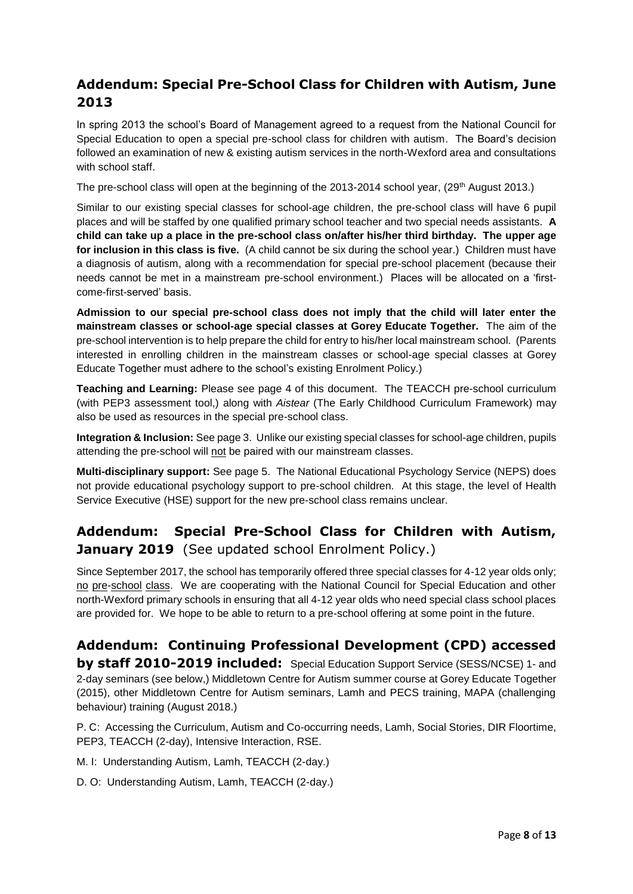## **Addendum: Special Pre-School Class for Children with Autism, June 2013**

In spring 2013 the school's Board of Management agreed to a request from the National Council for Special Education to open a special pre-school class for children with autism. The Board's decision followed an examination of new & existing autism services in the north-Wexford area and consultations with school staff.

The pre-school class will open at the beginning of the 2013-2014 school year, (29<sup>th</sup> August 2013.)

Similar to our existing special classes for school-age children, the pre-school class will have 6 pupil places and will be staffed by one qualified primary school teacher and two special needs assistants. **A child can take up a place in the pre-school class on/after his/her third birthday. The upper age for inclusion in this class is five.** (A child cannot be six during the school year.) Children must have a diagnosis of autism, along with a recommendation for special pre-school placement (because their needs cannot be met in a mainstream pre-school environment.) Places will be allocated on a 'firstcome-first-served' basis.

**Admission to our special pre-school class does not imply that the child will later enter the mainstream classes or school-age special classes at Gorey Educate Together.** The aim of the pre-school intervention is to help prepare the child for entry to his/her local mainstream school. (Parents interested in enrolling children in the mainstream classes or school-age special classes at Gorey Educate Together must adhere to the school's existing Enrolment Policy.)

**Teaching and Learning:** Please see page 4 of this document. The TEACCH pre-school curriculum (with PEP3 assessment tool,) along with *Aistear* (The Early Childhood Curriculum Framework) may also be used as resources in the special pre-school class.

**Integration & Inclusion:** See page 3. Unlike our existing special classes for school-age children, pupils attending the pre-school will not be paired with our mainstream classes.

**Multi-disciplinary support:** See page 5. The National Educational Psychology Service (NEPS) does not provide educational psychology support to pre-school children. At this stage, the level of Health Service Executive (HSE) support for the new pre-school class remains unclear.

# **Addendum: Special Pre-School Class for Children with Autism, January 2019** (See updated school Enrolment Policy.)

Since September 2017, the school has temporarily offered three special classes for 4-12 year olds only; no pre-school class. We are cooperating with the National Council for Special Education and other north-Wexford primary schools in ensuring that all 4-12 year olds who need special class school places are provided for. We hope to be able to return to a pre-school offering at some point in the future.

## **Addendum: Continuing Professional Development (CPD) accessed by staff 2010-2019 included:** Special Education Support Service (SESS/NCSE) 1- and 2-day seminars (see below,) Middletown Centre for Autism summer course at Gorey Educate Together (2015), other Middletown Centre for Autism seminars, Lamh and PECS training, MAPA (challenging

P. C: Accessing the Curriculum, Autism and Co-occurring needs, Lamh, Social Stories, DIR Floortime, PEP3, TEACCH (2-day), Intensive Interaction, RSE.

M. I: Understanding Autism, Lamh, TEACCH (2-day.)

behaviour) training (August 2018.)

D. O: Understanding Autism, Lamh, TEACCH (2-day.)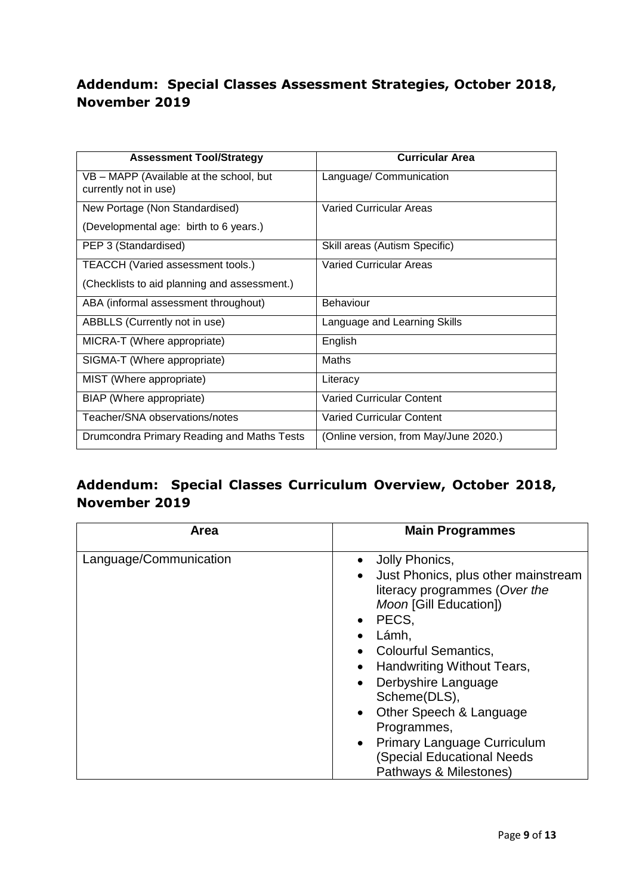# **Addendum: Special Classes Assessment Strategies, October 2018, November 2019**

| <b>Assessment Tool/Strategy</b>                                  | Curricular Area                       |
|------------------------------------------------------------------|---------------------------------------|
| VB - MAPP (Available at the school, but<br>currently not in use) | Language/ Communication               |
| New Portage (Non Standardised)                                   | <b>Varied Curricular Areas</b>        |
| (Developmental age: birth to 6 years.)                           |                                       |
| PEP 3 (Standardised)                                             | Skill areas (Autism Specific)         |
| TEACCH (Varied assessment tools.)                                | <b>Varied Curricular Areas</b>        |
| (Checklists to aid planning and assessment.)                     |                                       |
| ABA (informal assessment throughout)                             | <b>Behaviour</b>                      |
| ABBLLS (Currently not in use)                                    | Language and Learning Skills          |
| MICRA-T (Where appropriate)                                      | English                               |
| SIGMA-T (Where appropriate)                                      | Maths                                 |
| MIST (Where appropriate)                                         | Literacy                              |
| BIAP (Where appropriate)                                         | <b>Varied Curricular Content</b>      |
| Teacher/SNA observations/notes                                   | <b>Varied Curricular Content</b>      |
| Drumcondra Primary Reading and Maths Tests                       | (Online version, from May/June 2020.) |

# **Addendum: Special Classes Curriculum Overview, October 2018, November 2019**

| Area                   | <b>Main Programmes</b>                                                                                                                                                                                                                                                                                                                                                                                            |
|------------------------|-------------------------------------------------------------------------------------------------------------------------------------------------------------------------------------------------------------------------------------------------------------------------------------------------------------------------------------------------------------------------------------------------------------------|
| Language/Communication | • Jolly Phonics,<br>Just Phonics, plus other mainstream<br>$\bullet$<br>literacy programmes (Over the<br>Moon [Gill Education])<br>$\bullet$ PECS,<br>Lámh,<br><b>Colourful Semantics,</b><br>Handwriting Without Tears,<br>Derbyshire Language<br>$\bullet$<br>Scheme(DLS),<br>• Other Speech & Language<br>Programmes,<br>• Primary Language Curriculum<br>(Special Educational Needs<br>Pathways & Milestones) |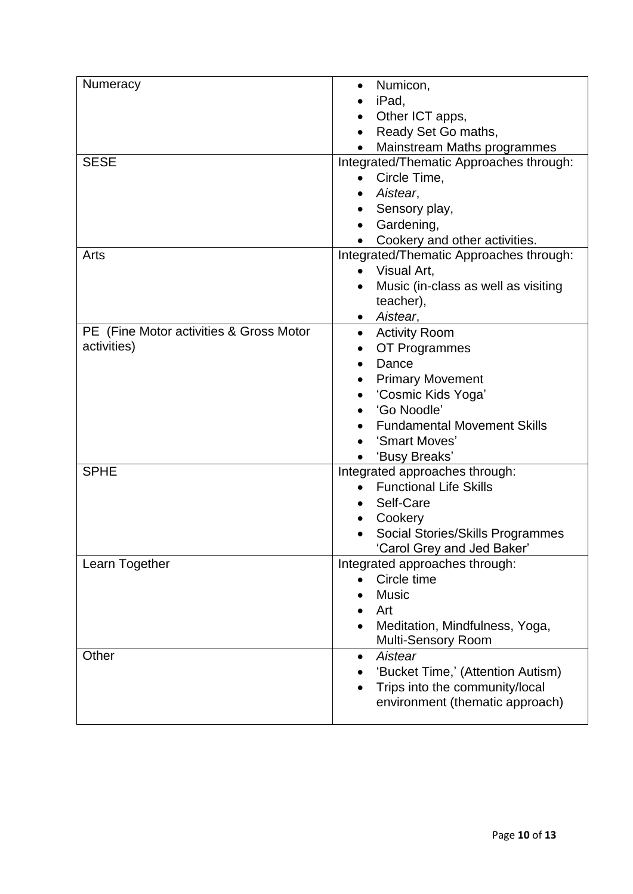| Numeracy                                | Numicon,<br>$\bullet$                   |
|-----------------------------------------|-----------------------------------------|
|                                         | iPad,                                   |
|                                         | Other ICT apps,                         |
|                                         | Ready Set Go maths,                     |
|                                         | Mainstream Maths programmes             |
| <b>SESE</b>                             | Integrated/Thematic Approaches through: |
|                                         | Circle Time,<br>$\bullet$               |
|                                         | Aistear,                                |
|                                         | Sensory play,                           |
|                                         | Gardening,<br>$\bullet$                 |
|                                         | Cookery and other activities.           |
| Arts                                    | Integrated/Thematic Approaches through: |
|                                         | • Visual Art,                           |
|                                         | Music (in-class as well as visiting     |
|                                         | teacher),                               |
|                                         | Aistear,                                |
| PE (Fine Motor activities & Gross Motor | <b>Activity Room</b><br>$\bullet$       |
| activities)                             | OT Programmes                           |
|                                         | Dance<br>$\bullet$                      |
|                                         | <b>Primary Movement</b><br>$\bullet$    |
|                                         | 'Cosmic Kids Yoga'<br>$\bullet$         |
|                                         | 'Go Noodle'                             |
|                                         | <b>Fundamental Movement Skills</b>      |
|                                         | 'Smart Moves'                           |
|                                         | 'Busy Breaks'                           |
| <b>SPHE</b>                             | Integrated approaches through:          |
|                                         | <b>Functional Life Skills</b>           |
|                                         | Self-Care<br>$\bullet$                  |
|                                         | Cookery<br>$\bullet$                    |
|                                         | Social Stories/Skills Programmes        |
|                                         | 'Carol Grey and Jed Baker'              |
| Learn Together                          | Integrated approaches through:          |
|                                         | Circle time                             |
|                                         | <b>Music</b>                            |
|                                         | Art                                     |
|                                         | Meditation, Mindfulness, Yoga,          |
|                                         | Multi-Sensory Room                      |
| Other                                   | Aistear<br>$\bullet$                    |
|                                         | 'Bucket Time,' (Attention Autism)       |
|                                         | Trips into the community/local          |
|                                         | environment (thematic approach)         |
|                                         |                                         |
|                                         |                                         |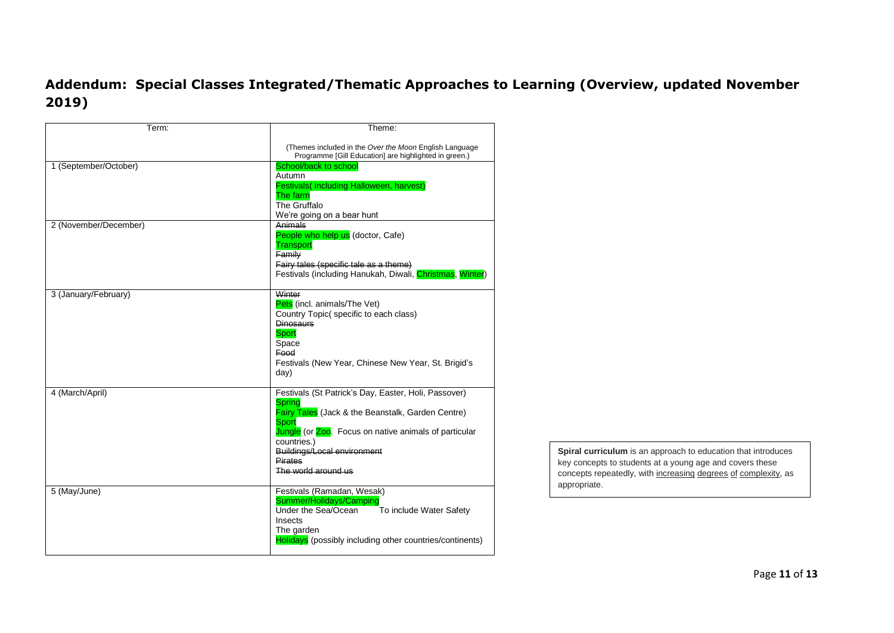## **Addendum: Special Classes Integrated/Thematic Approaches to Learning (Overview, updated November 2019)**

| Term:                 | Theme:                                                                                                                                                                                                                                                                                     |
|-----------------------|--------------------------------------------------------------------------------------------------------------------------------------------------------------------------------------------------------------------------------------------------------------------------------------------|
|                       | (Themes included in the Over the Moon English Language<br>Programme [Gill Education] are highlighted in green.)                                                                                                                                                                            |
| 1 (September/October) | School/back to school<br>Autumn<br>Festivals(including Halloween, harvest)<br>The farm<br>The Gruffalo<br>We're going on a bear hunt                                                                                                                                                       |
| 2 (November/December) | Animals<br>People who help us (doctor, Cafe)<br><b>Transport</b><br>Family<br>Fairy tales (specific tale as a theme)<br>Festivals (including Hanukah, Diwali, Christmas, Winter)                                                                                                           |
| 3 (January/February)  | Winter<br>Pets (incl. animals/The Vet)<br>Country Topic(specific to each class)<br><b>Dinosaurs</b><br>Sport<br>Space<br><b>Food</b><br>Festivals (New Year, Chinese New Year, St. Brigid's<br>day)                                                                                        |
| 4 (March/April)       | Festivals (St Patrick's Day, Easter, Holi, Passover)<br><b>Spring</b><br><b>Fairy Tales</b> (Jack & the Beanstalk, Garden Centre)<br>Sport<br>Jungle (or Zoo. Focus on native animals of particular<br>countries.)<br>Buildings/Local environment<br><b>Pirates</b><br>The world around us |
| 5 (May/June)          | Festivals (Ramadan, Wesak)<br>Summer/Holidays/Camping<br>Under the Sea/Ocean<br>To include Water Safety<br>Insects<br>The garden<br>Holidays (possibly including other countries/continents)                                                                                               |

**Spiral curriculum** is an approach to education that introduces key concepts to students at a young age and covers these concepts repeatedly, with increasing degrees of complexity, as appropriate.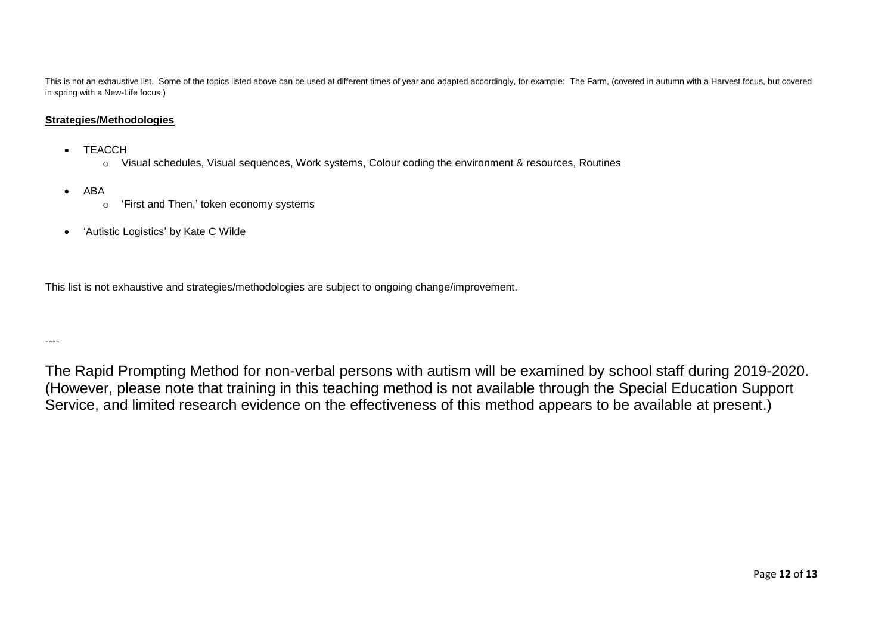This is not an exhaustive list. Some of the topics listed above can be used at different times of year and adapted accordingly, for example: The Farm, (covered in autumn with a Harvest focus, but covered in spring with a New-Life focus.)

### **Strategies/Methodologies**

- TEACCH
	- o Visual schedules, Visual sequences, Work systems, Colour coding the environment & resources, Routines
- ABA
	- o 'First and Then,' token economy systems
- 'Autistic Logistics' by Kate C Wilde

This list is not exhaustive and strategies/methodologies are subject to ongoing change/improvement.

----

The Rapid Prompting Method for non-verbal persons with autism will be examined by school staff during 2019-2020. (However, please note that training in this teaching method is not available through the Special Education Support Service, and limited research evidence on the effectiveness of this method appears to be available at present.)